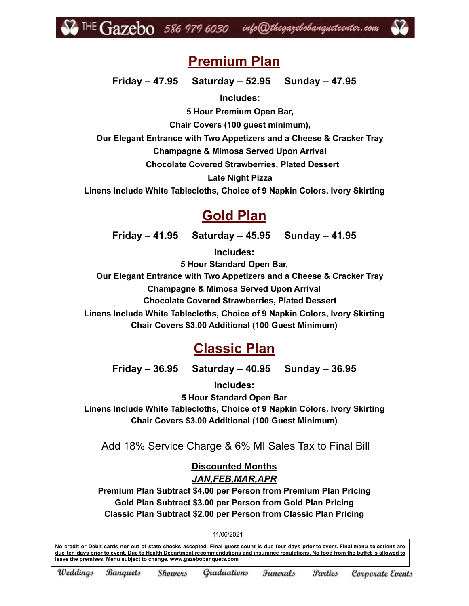

# **Premium Plan**

**Friday – 47.95 Saturday – 52.95 Sunday – 47.95**

**Includes:**

**5 Hour Premium Open Bar,**

**Chair Covers (100 guest minimum),**

**Our Elegant Entrance with Two Appetizers and a Cheese & Cracker Tray**

**Champagne & Mimosa Served Upon Arrival**

**Chocolate Covered Strawberries, Plated Dessert**

**Late Night Pizza**

**Linens Include White Tablecloths, Choice of 9 Napkin Colors, Ivory Skirting**

# **Gold Plan**

**Friday – 41.95 Saturday – 45.95 Sunday – 41.95**

**Includes: 5 Hour Standard Open Bar, Our Elegant Entrance with Two Appetizers and a Cheese & Cracker Tray Champagne & Mimosa Served Upon Arrival Chocolate Covered Strawberries, Plated Dessert Linens Include White Tablecloths, Choice of 9 Napkin Colors, Ivory Skirting Chair Covers \$3.00 Additional (100 Guest Minimum)**

# **Classic Plan**

**Friday – 36.95 Saturday – 40.95 Sunday – 36.95**

**Includes:**

**5 Hour Standard Open Bar**

**Linens Include White Tablecloths, Choice of 9 Napkin Colors, Ivory Skirting Chair Covers \$3.00 Additional (100 Guest Minimum)**

Add 18% Service Charge & 6% MI Sales Tax to Final Bill

**Discounted Months** *JAN,FEB,MAR,APR*

**Premium Plan Subtract \$4.00 per Person from Premium Plan Pricing Gold Plan Subtract \$3.00 per Person from Gold Plan Pricing Classic Plan Subtract \$2.00 per Person from Classic Plan Pricing**

11/06/2021

No credit or Debit cards nor out of state checks accepted. Final quest count is due four days prior to event. Final menu selections are due ten days prior to event. Due to Health Department recommendations and insurance regulations. No food from the buffet is allowed to **leave the premises. Menu subject to change. www.gazebobanquets.com**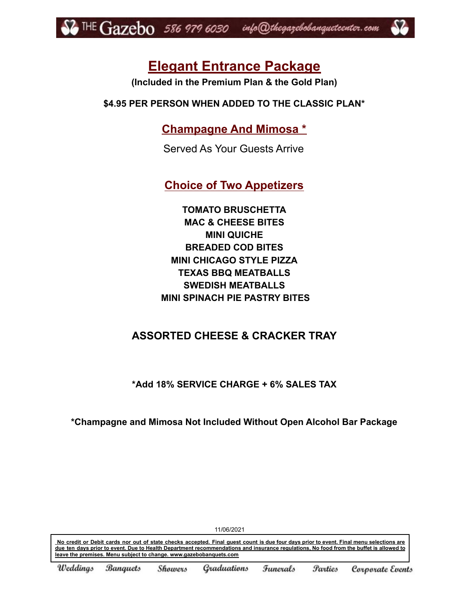

# **Elegant Entrance Package**

**(Included in the Premium Plan & the Gold Plan)**

**\$4.95 PER PERSON WHEN ADDED TO THE CLASSIC PLAN\***

**Champagne And Mimosa \***

Served As Your Guests Arrive

**Choice of Two Appetizers**

**TOMATO BRUSCHETTA MAC & CHEESE BITES MINI QUICHE BREADED COD BITES MINI CHICAGO STYLE PIZZA TEXAS BBQ MEATBALLS SWEDISH MEATBALLS MINI SPINACH PIE PASTRY BITES**

# **ASSORTED CHEESE & CRACKER TRAY**

**\*Add 18% SERVICE CHARGE + 6% SALES TAX**

**\*Champagne and Mimosa Not Included Without Open Alcohol Bar Package**

No credit or Debit cards nor out of state checks accepted. Final guest count is due four days prior to event. Final menu selections are due ten days prior to event. Due to Health Department recommendations and insurance regulations. No food from the buffet is allowed to **leave the premises. Menu subject to change. www.gazebobanquets.com**

11/06/2021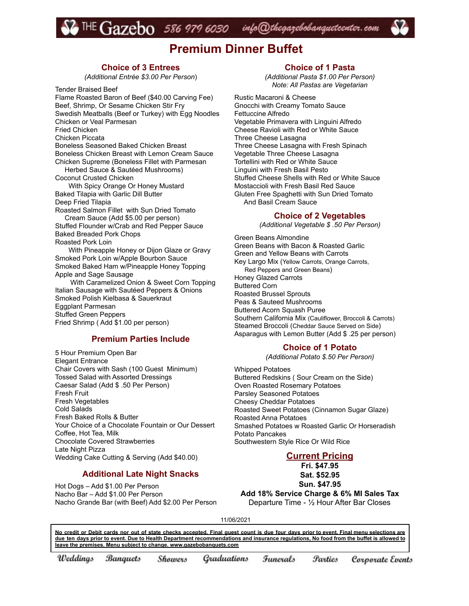# $\overline{\rm IHE}$   $\rm{Gazebo}$  586 979 6030 info@thegazebobanqueteenter.com

# **Premium Dinner Buffet**

### **Choice of 3 Entrees**

*(Additional Entrée \$3.00 Per Person*)

Tender Braised Beef Flame Roasted Baron of Beef (\$40.00 Carving Fee) Beef, Shrimp, Or Sesame Chicken Stir Fry Swedish Meatballs (Beef or Turkey) with Egg Noodles Chicken or Veal Parmesan Fried Chicken Chicken Piccata Boneless Seasoned Baked Chicken Breast Boneless Chicken Breast with Lemon Cream Sauce Chicken Supreme (Boneless Fillet with Parmesan Herbed Sauce & Sautéed Mushrooms) Coconut Crusted Chicken With Spicy Orange Or Honey Mustard Baked Tilapia with Garlic Dill Butter Deep Fried Tilapia Roasted Salmon Fillet with Sun Dried Tomato Cream Sauce (Add \$5.00 per person) Stuffed Flounder w/Crab and Red Pepper Sauce Baked Breaded Pork Chops Roasted Pork Loin With Pineapple Honey or Dijon Glaze or Gravy Smoked Pork Loin w/Apple Bourbon Sauce Smoked Baked Ham w/Pineapple Honey Topping Apple and Sage Sausage With Caramelized Onion & Sweet Corn Topping Italian Sausage with Sautéed Peppers & Onions Smoked Polish Kielbasa & Sauerkraut Eggplant Parmesan Stuffed Green Peppers Fried Shrimp ( Add \$1.00 per person)

### **Premium Parties Include**

5 Hour Premium Open Bar Elegant Entrance Chair Covers with Sash (100 Guest Minimum) Tossed Salad with Assorted Dressings Caesar Salad (Add \$ .50 Per Person) Fresh Fruit Fresh Vegetables Cold Salads Fresh Baked Rolls & Butter Your Choice of a Chocolate Fountain or Our Dessert Coffee, Hot Tea, Milk Chocolate Covered Strawberries Late Night Pizza Wedding Cake Cutting & Serving (Add \$40.00)

#### **Additional Late Night Snacks**

Hot Dogs – Add \$1.00 Per Person Nacho Bar – Add \$1.00 Per Person Nacho Grande Bar (with Beef) Add \$2.00 Per Person

### **Choice of 1 Pasta**

*(Additional Pasta \$1.00 Per Person) Note: All Pastas are Vegetarian*

Rustic Macaroni & Cheese Gnocchi with Creamy Tomato Sauce Fettuccine Alfredo Vegetable Primavera with Linguini Alfredo Cheese Ravioli with Red or White Sauce Three Cheese Lasagna Three Cheese Lasagna with Fresh Spinach Vegetable Three Cheese Lasagna Tortellini with Red or White Sauce Linguini with Fresh Basil Pesto Stuffed Cheese Shells with Red or White Sauce Mostaccioli with Fresh Basil Red Sauce Gluten Free Spaghetti with Sun Dried Tomato And Basil Cream Sauce

#### **Choice of 2 Vegetables**

*(Additional Vegetable \$ .50 Per Person)*

Green Beans Almondine Green Beans with Bacon & Roasted Garlic Green and Yellow Beans with Carrots Key Largo Mix (Yellow Carrots, Orange Carrots, Red Peppers and Green Beans) Honey Glazed Carrots Buttered Corn Roasted Brussel Sprouts Peas & Sauteed Mushrooms Buttered Acorn Squash Puree Southern California Mix (Cauliflower, Broccoli & Carrots) Steamed Broccoli (Cheddar Sauce Served on Side) Asparagus with Lemon Butter (Add \$ .25 per person)

#### **Choice of 1 Potato**

*(Additional Potato \$.50 Per Person)*

Whipped Potatoes Buttered Redskins ( Sour Cream on the Side) Oven Roasted Rosemary Potatoes Parsley Seasoned Potatoes Cheesy Cheddar Potatoes Roasted Sweet Potatoes (Cinnamon Sugar Glaze) Roasted Anna Potatoes Smashed Potatoes w Roasted Garlic Or Horseradish Potato Pancakes Southwestern Style Rice Or Wild Rice

### **Current Pricing**

**Fri. \$47.95 Sat. \$52.95**

**Sun. \$47.95**

**Add 18% Service Charge & 6% MI Sales Tax** Departure Time - ½ Hour After Bar Closes

11/06/2021

No credit or Debit cards nor out of state checks accepted. Final guest count is due four days prior to event. Final menu selections are due ten days prior to event. Due to Health Department recommendations and insurance regulations, No food from the buffet is allowed to **leave the premises. Menu subject to change. www.gazebobanquets.com**

**Banquets** Graduations Weddings Showers Funerals *<u>Parties</u>* Corporate Events

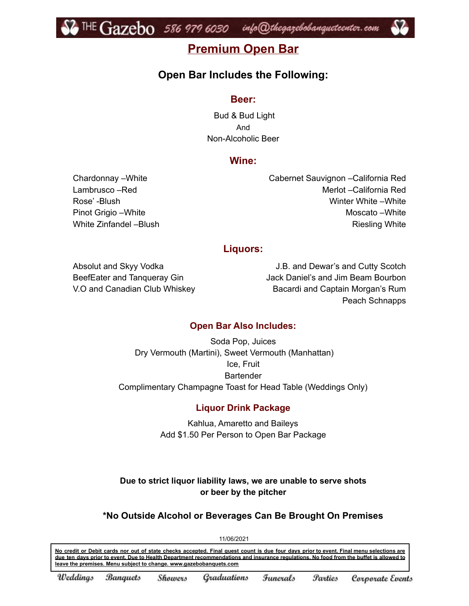

# **Premium Open Bar**

# **Open Bar Includes the Following:**

## **Beer:**

Bud & Bud Light And Non-Alcoholic Beer

# **Wine:**

Chardonnay –White Lambrusco –Red Rose' -Blush Pinot Grigio –White White Zinfandel –Blush Cabernet Sauvignon –California Red Merlot –California Red Winter White –White Moscato –White Riesling White

## **Liquors:**

Absolut and Skyy Vodka BeefEater and Tanqueray Gin V.O and Canadian Club Whiskey

J.B. and Dewar's and Cutty Scotch Jack Daniel's and Jim Beam Bourbon Bacardi and Captain Morgan's Rum Peach Schnapps

# **Open Bar Also Includes:**

Soda Pop, Juices Dry Vermouth (Martini), Sweet Vermouth (Manhattan) Ice, Fruit **Bartender** Complimentary Champagne Toast for Head Table (Weddings Only)

# **Liquor Drink Package**

Kahlua, Amaretto and Baileys Add \$1.50 Per Person to Open Bar Package

**Due to strict liquor liability laws, we are unable to serve shots or beer by the pitcher**

# **\*No Outside Alcohol or Beverages Can Be Brought On Premises**

11/06/2021

No credit or Debit cards nor out of state checks accepted. Final guest count is due four days prior to event. Final menu selections are due ten days prior to event. Due to Health Department recommendations and insurance requiations. No food from the buffet is allowed to **leave the premises. Menu subject to change. www.gazebobanquets.com**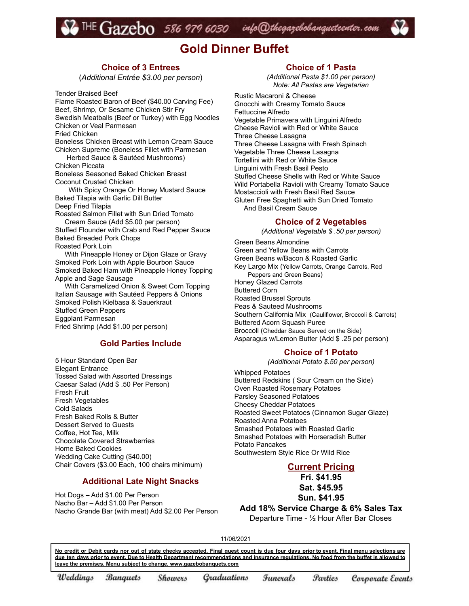THE Gazebo 586 979 6030 info@thegazebobanqueteenter.com

# **Gold Dinner Buffet**

### **Choice of 3 Entrees**

(*Additional Entrée \$3.00 per person*)

Tender Braised Beef

Flame Roasted Baron of Beef (\$40.00 Carving Fee) Beef, Shrimp, Or Sesame Chicken Stir Fry Swedish Meatballs (Beef or Turkey) with Egg Noodles Chicken or Veal Parmesan Fried Chicken Boneless Chicken Breast with Lemon Cream Sauce Chicken Supreme (Boneless Fillet with Parmesan Herbed Sauce & Sautéed Mushrooms) Chicken Piccata Boneless Seasoned Baked Chicken Breast Coconut Crusted Chicken With Spicy Orange Or Honey Mustard Sauce Baked Tilapia with Garlic Dill Butter Deep Fried Tilapia Roasted Salmon Fillet with Sun Dried Tomato Cream Sauce (Add \$5.00 per person) Stuffed Flounder with Crab and Red Pepper Sauce Baked Breaded Pork Chops Roasted Pork Loin With Pineapple Honey or Dijon Glaze or Gravy Smoked Pork Loin with Apple Bourbon Sauce Smoked Baked Ham with Pineapple Honey Topping Apple and Sage Sausage With Caramelized Onion & Sweet Corn Topping Italian Sausage with Sautéed Peppers & Onions

Smoked Polish Kielbasa & Sauerkraut Stuffed Green Peppers Eggplant Parmesan Fried Shrimp (Add \$1.00 per person)

#### **Gold Parties Include**

5 Hour Standard Open Bar Elegant Entrance Tossed Salad with Assorted Dressings Caesar Salad (Add \$ .50 Per Person) Fresh Fruit Fresh Vegetables Cold Salads Fresh Baked Rolls & Butter Dessert Served to Guests Coffee, Hot Tea, Milk Chocolate Covered Strawberries Home Baked Cookies Wedding Cake Cutting (\$40.00) Chair Covers (\$3.00 Each, 100 chairs minimum)

#### **Additional Late Night Snacks**

Hot Dogs – Add \$1.00 Per Person Nacho Bar – Add \$1.00 Per Person Nacho Grande Bar (with meat) Add \$2.00 Per Person

### **Choice of 1 Pasta**

*(Additional Pasta \$1.00 per person) Note: All Pastas are Vegetarian*

Rustic Macaroni & Cheese Gnocchi with Creamy Tomato Sauce Fettuccine Alfredo Vegetable Primavera with Linguini Alfredo Cheese Ravioli with Red or White Sauce Three Cheese Lasagna Three Cheese Lasagna with Fresh Spinach Vegetable Three Cheese Lasagna Tortellini with Red or White Sauce Linguini with Fresh Basil Pesto Stuffed Cheese Shells with Red or White Sauce Wild Portabella Ravioli with Creamy Tomato Sauce Mostaccioli with Fresh Basil Red Sauce Gluten Free Spaghetti with Sun Dried Tomato And Basil Cream Sauce

#### **Choice of 2 Vegetables**

*(Additional Vegetable \$ .50 per person)*

Green Beans Almondine Green and Yellow Beans with Carrots Green Beans w/Bacon & Roasted Garlic Key Largo Mix (Yellow Carrots, Orange Carrots, Red Peppers and Green Beans) Honey Glazed Carrots Buttered Corn Roasted Brussel Sprouts Peas & Sauteed Mushrooms Southern California Mix (Cauliflower, Broccoli & Carrots) Buttered Acorn Squash Puree Broccoli (Cheddar Sauce Served on the Side) Asparagus w/Lemon Butter (Add \$ .25 per person)

#### **Choice of 1 Potato**

*(Additional Potato \$.50 per person)*

Whipped Potatoes Buttered Redskins ( Sour Cream on the Side) Oven Roasted Rosemary Potatoes Parsley Seasoned Potatoes Cheesy Cheddar Potatoes Roasted Sweet Potatoes (Cinnamon Sugar Glaze) Roasted Anna Potatoes Smashed Potatoes with Roasted Garlic Smashed Potatoes with Horseradish Butter Potato Pancakes Southwestern Style Rice Or Wild Rice

### **Current Pricing**

**Fri. \$41.95 Sat. \$45.95 Sun. \$41.95**

**Add 18% Service Charge & 6% Sales Tax** Departure Time - ½ Hour After Bar Closes

11/06/2021

No credit or Debit cards nor out of state checks accepted. Final guest count is due four days prior to event. Final menu selections are due ten days prior to event. Due to Health Department recommendations and insurance regulations. No food from the buffet is allowed to **leave the premises. Menu subject to change. www.gazebobanquets.com**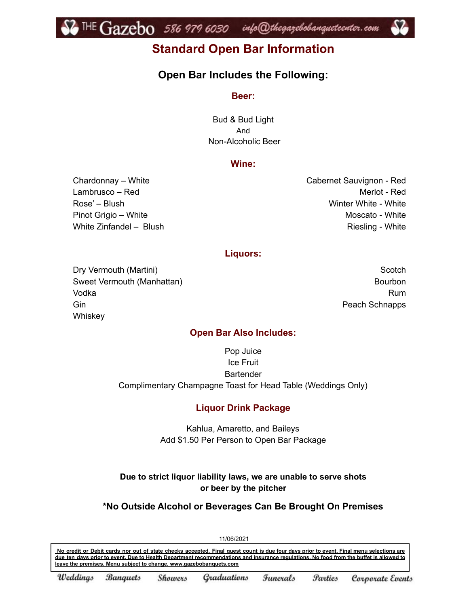

# **Standard Open Bar Information**

# **Open Bar Includes the Following:**

### **Beer:**

Bud & Bud Light And Non-Alcoholic Beer

## **Wine:**

Chardonnay – White Lambrusco – Red Rose' – Blush Pinot Grigio – White White Zinfandel – Blush Cabernet Sauvignon - Red Merlot - Red Winter White - White Moscato - White Riesling - White

## **Liquors:**

Dry Vermouth (Martini) Sweet Vermouth (Manhattan) Vodka Gin **Whiskey** 

**Scotch Bourbon** Rum Peach Schnapps

## **Open Bar Also Includes:**

Pop Juice Ice Fruit **Bartender** Complimentary Champagne Toast for Head Table (Weddings Only)

## **Liquor Drink Package**

Kahlua, Amaretto, and Baileys Add \$1.50 Per Person to Open Bar Package

## **Due to strict liquor liability laws, we are unable to serve shots or beer by the pitcher**

## **\*No Outside Alcohol or Beverages Can Be Brought On Premises**

11/06/2021

No credit or Debit cards nor out of state checks accepted. Final guest count is due four days prior to event. Final menu selections are due ten days prior to event. Due to Health Department recommendations and insurance requiations. No food from the buffet is allowed to **leave the premises. Menu subject to change. www.gazebobanquets.com**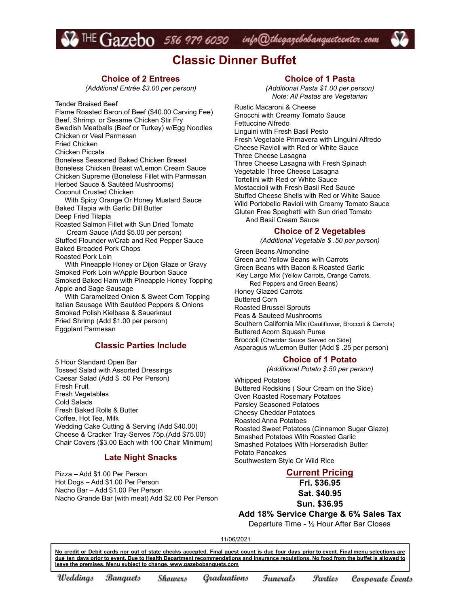# $\bullet$  THE  $Gazebo$  586 979 6030 info@thegazebobanqueteenter.com

# **Classic Dinner Buffet**

#### **Choice of 2 Entrees**

*(Additional Entrée \$3.00 per person)*

Tender Braised Beef

Flame Roasted Baron of Beef (\$40.00 Carving Fee) Beef, Shrimp, or Sesame Chicken Stir Fry Swedish Meatballs (Beef or Turkey) w/Egg Noodles Chicken or Veal Parmesan

Fried Chicken

Chicken Piccata

Boneless Seasoned Baked Chicken Breast Boneless Chicken Breast w/Lemon Cream Sauce Chicken Supreme (Boneless Fillet with Parmesan Herbed Sauce & Sautéed Mushrooms) Coconut Crusted Chicken

With Spicy Orange Or Honey Mustard Sauce Baked Tilapia with Garlic Dill Butter Deep Fried Tilapia

Roasted Salmon Fillet with Sun Dried Tomato

Cream Sauce (Add \$5.00 per person) Stuffed Flounder w/Crab and Red Pepper Sauce Baked Breaded Pork Chops

Roasted Pork Loin

With Pineapple Honey or Dijon Glaze or Gravy Smoked Pork Loin w/Apple Bourbon Sauce Smoked Baked Ham with Pineapple Honey Topping Apple and Sage Sausage

With Caramelized Onion & Sweet Corn Topping Italian Sausage With Sautéed Peppers & Onions Smoked Polish Kielbasa & Sauerkraut Fried Shrimp (Add \$1.00 per person) Eggplant Parmesan

### **Classic Parties Include**

5 Hour Standard Open Bar Tossed Salad with Assorted Dressings Caesar Salad (Add \$ .50 Per Person) Fresh Fruit Fresh Vegetables Cold Salads Fresh Baked Rolls & Butter Coffee, Hot Tea, Milk Wedding Cake Cutting & Serving (Add \$40.00) Cheese & Cracker Tray-Serves 75p.(Add \$75.00) Chair Covers (\$3.00 Each with 100 Chair Minimum)

#### **Late Night Snacks**

Pizza – Add \$1.00 Per Person Hot Dogs – Add \$1.00 Per Person Nacho Bar – Add \$1.00 Per Person Nacho Grande Bar (with meat) Add \$2.00 Per Person

#### **Choice of 1 Pasta**

*(Additional Pasta \$1.00 per person) Note: All Pastas are Vegetarian*

Rustic Macaroni & Cheese Gnocchi with Creamy Tomato Sauce Fettuccine Alfredo Linguini with Fresh Basil Pesto Fresh Vegetable Primavera with Linguini Alfredo Cheese Ravioli with Red or White Sauce Three Cheese Lasagna Three Cheese Lasagna with Fresh Spinach Vegetable Three Cheese Lasagna Tortellini with Red or White Sauce Mostaccioli with Fresh Basil Red Sauce Stuffed Cheese Shells with Red or White Sauce Wild Portobello Ravioli with Creamy Tomato Sauce Gluten Free Spaghetti with Sun dried Tomato And Basil Cream Sauce

#### **Choice of 2 Vegetables**

*(Additional Vegetable \$ .50 per person)*

Green Beans Almondine Green and Yellow Beans w/ih Carrots Green Beans with Bacon & Roasted Garlic Key Largo Mix (Yellow Carrots, Orange Carrots, Red Peppers and Green Beans) Honey Glazed Carrots Buttered Corn Roasted Brussel Sprouts Peas & Sauteed Mushrooms Southern California Mix (Cauliflower, Broccoli & Carrots) Buttered Acorn Squash Puree Broccoli (Cheddar Sauce Served on Side) Asparagus w/Lemon Butter (Add \$ .25 per person)

#### **Choice of 1 Potato**

*(Additional Potato \$.50 per person)*

Whipped Potatoes Buttered Redskins ( Sour Cream on the Side) Oven Roasted Rosemary Potatoes Parsley Seasoned Potatoes Cheesy Cheddar Potatoes Roasted Anna Potatoes Roasted Sweet Potatoes (Cinnamon Sugar Glaze) Smashed Potatoes With Roasted Garlic Smashed Potatoes With Horseradish Butter Potato Pancakes Southwestern Style Or Wild Rice

### **Current Pricing**

**Fri. \$36.95 Sat. \$40.95**

**Sun. \$36.95**

**Add 18% Service Charge & 6% Sales Tax**

Departure Time - ½ Hour After Bar Closes

11/06/2021

No credit or Debit cards nor out of state checks accepted. Final quest count is due four days prior to event. Final menu selections are due ten days prior to event. Due to Health Department recommendations and insurance regulations. No food from the buffet is allowed to **leave the premises. Menu subject to change. www.gazebobanquets.com**